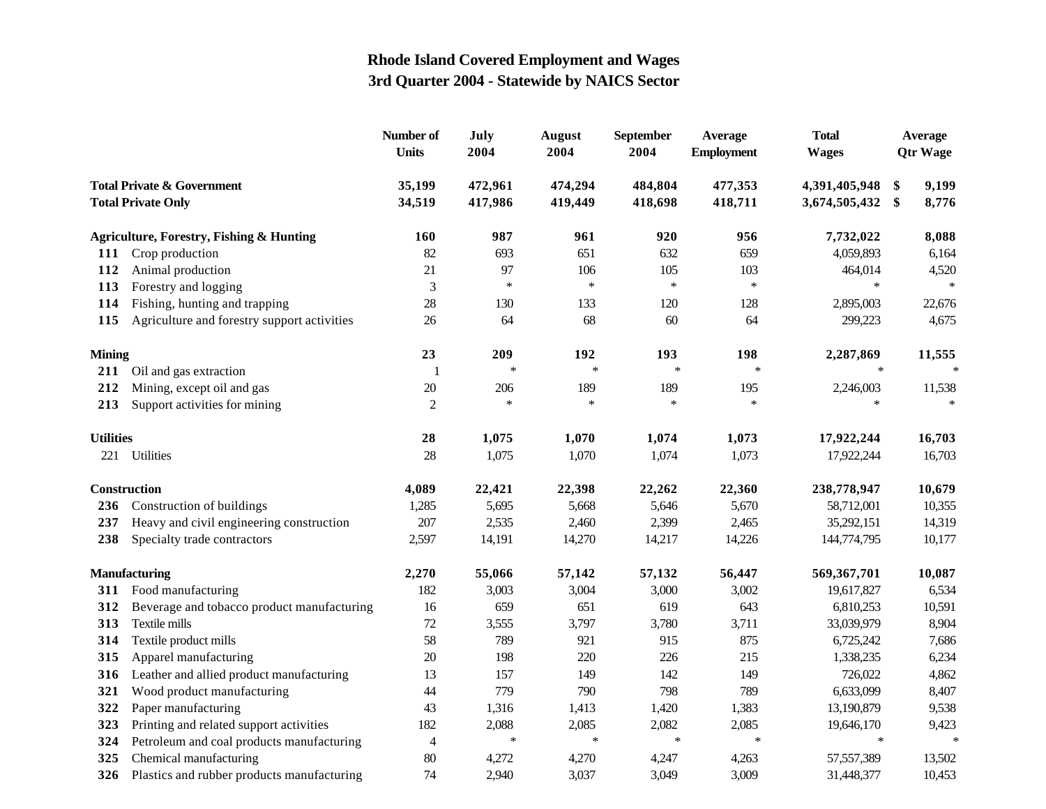|                                                                    |                                                     | Number of<br><b>Units</b> | July<br>2004       | <b>August</b><br>2004 | <b>September</b><br>2004 | Average<br><b>Employment</b> | <b>Total</b><br><b>Wages</b>   | Average<br><b>Qtr Wage</b> |                |
|--------------------------------------------------------------------|-----------------------------------------------------|---------------------------|--------------------|-----------------------|--------------------------|------------------------------|--------------------------------|----------------------------|----------------|
| <b>Total Private &amp; Government</b><br><b>Total Private Only</b> |                                                     | 35,199<br>34,519          | 472,961<br>417,986 | 474,294<br>419,449    | 484,804<br>418,698       | 477,353<br>418,711           | 4,391,405,948<br>3,674,505,432 | \$<br>\$                   | 9,199<br>8,776 |
|                                                                    | <b>Agriculture, Forestry, Fishing &amp; Hunting</b> | 160                       | 987                | 961                   | 920                      | 956                          | 7,732,022                      |                            | 8,088          |
| <b>111</b>                                                         | Crop production                                     | 82                        | 693                | 651                   | 632                      | 659                          | 4,059,893                      |                            | 6,164          |
| 112                                                                | Animal production                                   | 21                        | 97                 | 106                   | 105                      | 103                          | 464,014                        |                            | 4,520          |
| 113                                                                | Forestry and logging                                | $\mathfrak{Z}$            | $\ast$             | $\ast$                | $\ast$                   | $\ast$                       | $\ast$                         |                            | $\ast$         |
| 114                                                                | Fishing, hunting and trapping                       | 28                        | 130                | 133                   | 120                      | 128                          | 2,895,003                      |                            | 22,676         |
| 115                                                                | Agriculture and forestry support activities         | 26                        | 64                 | 68                    | 60                       | 64                           | 299,223                        |                            | 4,675          |
| <b>Mining</b>                                                      |                                                     | 23                        | 209                | 192                   | 193                      | 198                          | 2,287,869                      |                            | 11,555         |
|                                                                    | 211 Oil and gas extraction                          | $\mathbf{1}$              | $\ast$             | $\ast$                | $\ast$                   | $\ast$                       | $\ast$                         |                            | $\ast$         |
| 212                                                                | Mining, except oil and gas                          | $20\,$                    | 206                | 189                   | 189                      | 195                          | 2,246,003                      |                            | 11,538         |
| 213                                                                | Support activities for mining                       | $\overline{c}$            | $\ast$             | $\ast$                | $\ast$                   | $\ast$                       | $\ast$                         |                            | $\ast$         |
| <b>Utilities</b>                                                   |                                                     | 28                        | 1,075              | 1,070                 | 1,074                    | 1,073                        | 17,922,244                     |                            | 16,703         |
| 221                                                                | Utilities                                           | 28                        | 1,075              | 1,070                 | 1,074                    | 1,073                        | 17,922,244                     |                            | 16,703         |
| Construction                                                       |                                                     | 4,089                     | 22,421             | 22,398                | 22,262                   | 22,360                       | 238,778,947                    |                            | 10,679         |
| 236                                                                | Construction of buildings                           | 1,285                     | 5,695              | 5,668                 | 5,646                    | 5,670                        | 58,712,001                     |                            | 10,355         |
| 237                                                                | Heavy and civil engineering construction            | 207                       | 2,535              | 2,460                 | 2,399                    | 2,465                        | 35,292,151                     |                            | 14,319         |
| 238                                                                | Specialty trade contractors                         | 2,597                     | 14,191             | 14,270                | 14,217                   | 14,226                       | 144,774,795                    |                            | 10,177         |
|                                                                    | <b>Manufacturing</b>                                | 2,270                     | 55,066             | 57,142                | 57,132                   | 56,447                       | 569,367,701                    |                            | 10,087         |
|                                                                    | 311 Food manufacturing                              | 182                       | 3,003              | 3,004                 | 3,000                    | 3,002                        | 19,617,827                     |                            | 6,534          |
| 312                                                                | Beverage and tobacco product manufacturing          | 16                        | 659                | 651                   | 619                      | 643                          | 6,810,253                      |                            | 10,591         |
| 313                                                                | Textile mills                                       | 72                        | 3,555              | 3,797                 | 3,780                    | 3,711                        | 33,039,979                     |                            | 8,904          |
| 314                                                                | Textile product mills                               | 58                        | 789                | 921                   | 915                      | 875                          | 6,725,242                      |                            | 7,686          |
| 315                                                                | Apparel manufacturing                               | 20                        | 198                | 220                   | 226                      | 215                          | 1,338,235                      |                            | 6,234          |
| 316                                                                | Leather and allied product manufacturing            | 13                        | 157                | 149                   | 142                      | 149                          | 726,022                        |                            | 4,862          |
| 321                                                                | Wood product manufacturing                          | 44                        | 779                | 790                   | 798                      | 789                          | 6,633,099                      |                            | 8,407          |
| 322                                                                | Paper manufacturing                                 | 43                        | 1,316              | 1,413                 | 1,420                    | 1,383                        | 13,190,879                     |                            | 9,538          |
| 323                                                                | Printing and related support activities             | 182                       | 2,088              | 2,085                 | 2,082                    | 2,085                        | 19,646,170                     |                            | 9,423          |
| 324                                                                | Petroleum and coal products manufacturing           | $\overline{4}$            | $\ast$             | $\ast$                | $\ast$                   | $\ast$                       | $\ast$                         |                            | $\ast$         |
| 325                                                                | Chemical manufacturing                              | 80                        | 4,272              | 4,270                 | 4,247                    | 4,263                        | 57,557,389                     |                            | 13,502         |
| 326                                                                | Plastics and rubber products manufacturing          | 74                        | 2,940              | 3,037                 | 3,049                    | 3,009                        | 31,448,377                     |                            | 10,453         |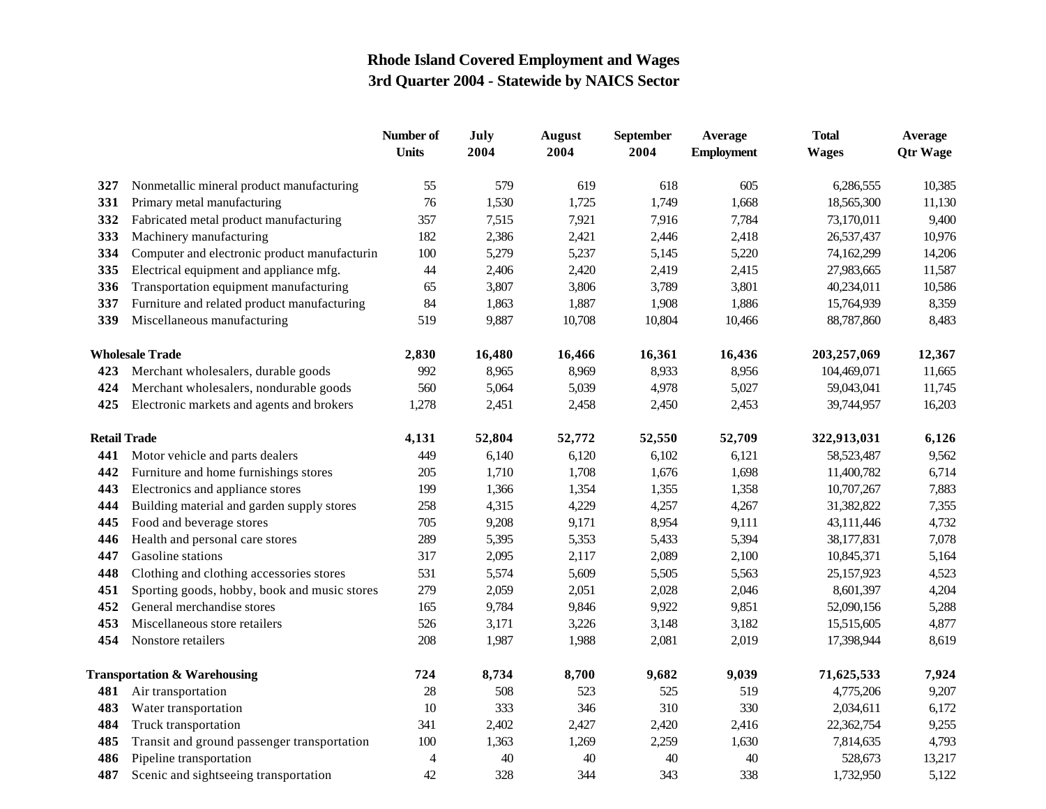|                     |                                              | Number of<br><b>Units</b> | July<br>2004 | <b>August</b><br>2004 | September<br>2004 | <b>Average</b><br><b>Employment</b> | <b>Total</b><br><b>Wages</b> | Average<br><b>Qtr Wage</b> |
|---------------------|----------------------------------------------|---------------------------|--------------|-----------------------|-------------------|-------------------------------------|------------------------------|----------------------------|
| 327                 | Nonmetallic mineral product manufacturing    | 55                        | 579          | 619                   | 618               | 605                                 | 6,286,555                    | 10,385                     |
| 331                 | Primary metal manufacturing                  | 76                        | 1,530        | 1,725                 | 1,749             | 1,668                               | 18,565,300                   | 11,130                     |
| 332                 | Fabricated metal product manufacturing       | 357                       | 7,515        | 7,921                 | 7,916             | 7,784                               | 73,170,011                   | 9,400                      |
| 333                 | Machinery manufacturing                      | 182                       | 2,386        | 2,421                 | 2,446             | 2,418                               | 26,537,437                   | 10,976                     |
| 334                 | Computer and electronic product manufacturin | 100                       | 5,279        | 5,237                 | 5,145             | 5,220                               | 74,162,299                   | 14,206                     |
| 335                 | Electrical equipment and appliance mfg.      | 44                        | 2,406        | 2,420                 | 2,419             | 2,415                               | 27,983,665                   | 11,587                     |
| 336                 | Transportation equipment manufacturing       | 65                        | 3,807        | 3,806                 | 3,789             | 3,801                               | 40,234,011                   | 10,586                     |
| 337                 | Furniture and related product manufacturing  | 84                        | 1,863        | 1,887                 | 1,908             | 1,886                               | 15,764,939                   | 8,359                      |
| 339                 | Miscellaneous manufacturing                  | 519                       | 9,887        | 10,708                | 10,804            | 10,466                              | 88,787,860                   | 8,483                      |
|                     | <b>Wholesale Trade</b>                       | 2,830                     | 16,480       | 16,466                | 16,361            | 16,436                              | 203,257,069                  | 12,367                     |
| 423                 | Merchant wholesalers, durable goods          | 992                       | 8,965        | 8,969                 | 8,933             | 8,956                               | 104,469,071                  | 11,665                     |
| 424                 | Merchant wholesalers, nondurable goods       | 560                       | 5,064        | 5,039                 | 4,978             | 5,027                               | 59,043,041                   | 11,745                     |
| 425                 | Electronic markets and agents and brokers    | 1,278                     | 2,451        | 2,458                 | 2,450             | 2,453                               | 39,744,957                   | 16,203                     |
| <b>Retail Trade</b> |                                              | 4,131                     | 52,804       | 52,772                | 52,550            | 52,709                              | 322,913,031                  | 6,126                      |
| 441                 | Motor vehicle and parts dealers              | 449                       | 6,140        | 6,120                 | 6,102             | 6,121                               | 58, 523, 487                 | 9,562                      |
| 442                 | Furniture and home furnishings stores        | 205                       | 1,710        | 1,708                 | 1,676             | 1,698                               | 11,400,782                   | 6,714                      |
| 443                 | Electronics and appliance stores             | 199                       | 1,366        | 1,354                 | 1,355             | 1,358                               | 10,707,267                   | 7,883                      |
| 444                 | Building material and garden supply stores   | 258                       | 4,315        | 4,229                 | 4,257             | 4,267                               | 31,382,822                   | 7,355                      |
| 445                 | Food and beverage stores                     | 705                       | 9,208        | 9,171                 | 8,954             | 9,111                               | 43,111,446                   | 4,732                      |
| 446                 | Health and personal care stores              | 289                       | 5,395        | 5,353                 | 5,433             | 5,394                               | 38,177,831                   | 7,078                      |
| 447                 | Gasoline stations                            | 317                       | 2,095        | 2,117                 | 2,089             | 2,100                               | 10,845,371                   | 5,164                      |
| 448                 | Clothing and clothing accessories stores     | 531                       | 5,574        | 5,609                 | 5,505             | 5,563                               | 25,157,923                   | 4,523                      |
| 451                 | Sporting goods, hobby, book and music stores | 279                       | 2,059        | 2,051                 | 2,028             | 2,046                               | 8,601,397                    | 4,204                      |
| 452                 | General merchandise stores                   | 165                       | 9,784        | 9,846                 | 9,922             | 9,851                               | 52,090,156                   | 5,288                      |
| 453                 | Miscellaneous store retailers                | 526                       | 3,171        | 3,226                 | 3,148             | 3,182                               | 15,515,605                   | 4,877                      |
| 454                 | Nonstore retailers                           | 208                       | 1,987        | 1,988                 | 2,081             | 2,019                               | 17,398,944                   | 8,619                      |
|                     | <b>Transportation &amp; Warehousing</b>      |                           | 8,734        | 8,700                 | 9,682             | 9,039                               | 71,625,533                   | 7,924                      |
| 481                 | Air transportation                           | 28                        | 508          | 523                   | 525               | 519                                 | 4,775,206                    | 9,207                      |
| 483                 | Water transportation                         | 10                        | 333          | 346                   | 310               | 330                                 | 2,034,611                    | 6,172                      |
| 484                 | Truck transportation                         | 341                       | 2,402        | 2,427                 | 2,420             | 2,416                               | 22,362,754                   | 9,255                      |
| 485                 | Transit and ground passenger transportation  | 100                       | 1,363        | 1,269                 | 2,259             | 1,630                               | 7,814,635                    | 4,793                      |
| 486                 | Pipeline transportation                      | $\overline{4}$            | 40           | 40                    | 40                | 40                                  | 528,673                      | 13,217                     |
| 487                 | Scenic and sightseeing transportation        | 42                        | 328          | 344                   | 343               | 338                                 | 1,732,950                    | 5,122                      |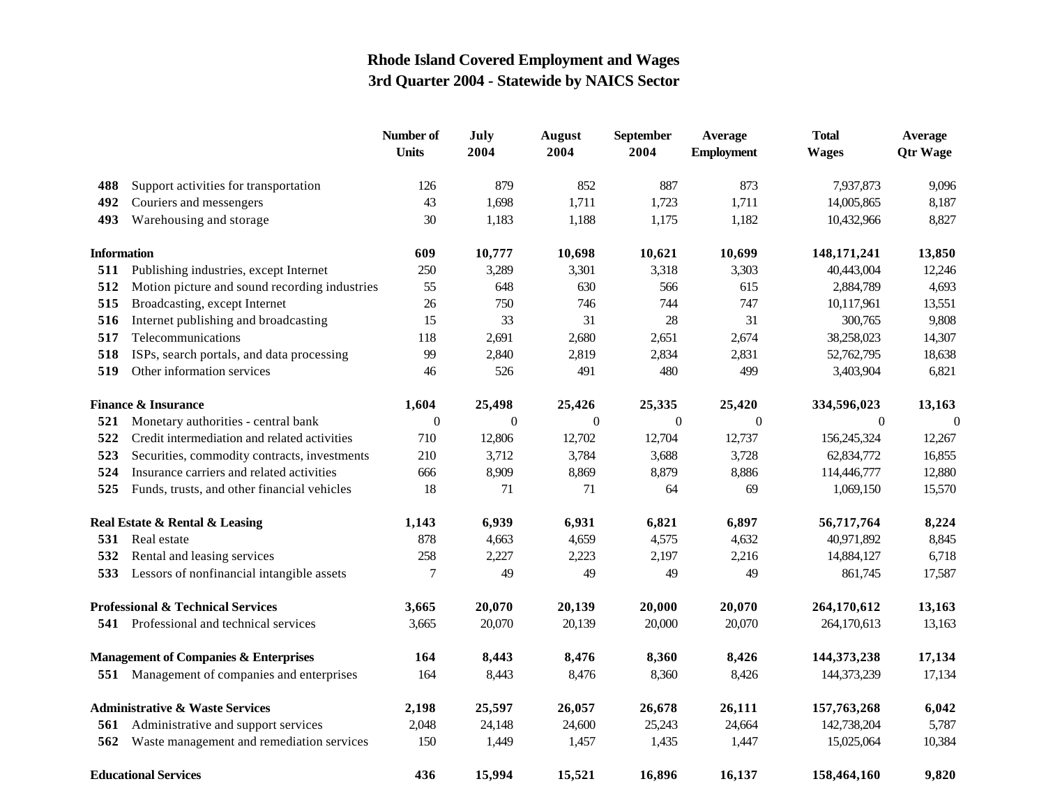|                                                  |                                                | Number of<br><b>Units</b> | July<br>2004     | <b>August</b><br>2004 | <b>September</b><br>2004 | Average<br><b>Employment</b> | <b>Total</b><br><b>Wages</b> | Average<br><b>Qtr Wage</b> |
|--------------------------------------------------|------------------------------------------------|---------------------------|------------------|-----------------------|--------------------------|------------------------------|------------------------------|----------------------------|
| 488                                              | Support activities for transportation          | 126                       | 879              | 852                   | 887                      | 873                          | 7,937,873                    | 9,096                      |
| 492                                              | Couriers and messengers                        | 43                        | 1,698            | 1,711                 | 1,723                    | 1,711                        | 14,005,865                   | 8,187                      |
| 493                                              | Warehousing and storage                        | 30                        | 1,183            | 1,188                 | 1,175                    | 1,182                        | 10,432,966                   | 8,827                      |
| <b>Information</b>                               |                                                | 609                       | 10,777           | 10,698                | 10,621                   | 10,699                       | 148, 171, 241                | 13,850                     |
| 511                                              | Publishing industries, except Internet         | 250                       | 3,289            | 3,301                 | 3,318                    | 3,303                        | 40,443,004                   | 12,246                     |
| 512                                              | Motion picture and sound recording industries  | 55                        | 648              | 630                   | 566                      | 615                          | 2,884,789                    | 4,693                      |
| 515                                              | Broadcasting, except Internet                  | 26                        | 750              | 746                   | 744                      | 747                          | 10,117,961                   | 13,551                     |
| 516                                              | Internet publishing and broadcasting           | 15                        | 33               | 31                    | 28                       | 31                           | 300,765                      | 9,808                      |
| 517                                              | Telecommunications                             | 118                       | 2,691            | 2,680                 | 2,651                    | 2,674                        | 38,258,023                   | 14,307                     |
| 518                                              | ISPs, search portals, and data processing      | 99                        | 2,840            | 2,819                 | 2,834                    | 2,831                        | 52,762,795                   | 18,638                     |
| 519                                              | Other information services                     | 46                        | 526              | 491                   | 480                      | 499                          | 3,403,904                    | 6,821                      |
| <b>Finance &amp; Insurance</b>                   |                                                | 1,604                     | 25,498           | 25,426                | 25,335                   | 25,420                       | 334,596,023                  | 13,163                     |
| 521                                              | Monetary authorities - central bank            | $\theta$                  | $\boldsymbol{0}$ | $\theta$              | $\theta$                 | $\overline{0}$               | $\boldsymbol{0}$             | $\mathbf{0}$               |
| 522                                              | Credit intermediation and related activities   | 710                       | 12,806           | 12,702                | 12,704                   | 12,737                       | 156,245,324                  | 12,267                     |
| 523                                              | Securities, commodity contracts, investments   | 210                       | 3,712            | 3,784                 | 3,688                    | 3,728                        | 62,834,772                   | 16,855                     |
| 524                                              | Insurance carriers and related activities      | 666                       | 8,909            | 8,869                 | 8,879                    | 8,886                        | 114,446,777                  | 12,880                     |
| 525                                              | Funds, trusts, and other financial vehicles    | 18                        | 71               | 71                    | 64                       | 69                           | 1,069,150                    | 15,570                     |
|                                                  | Real Estate & Rental & Leasing                 | 1,143                     | 6,939            | 6,931                 | 6,821                    | 6,897                        | 56,717,764                   | 8,224                      |
| 531                                              | Real estate                                    | 878                       | 4,663            | 4,659                 | 4,575                    | 4,632                        | 40,971,892                   | 8,845                      |
| 532                                              | Rental and leasing services                    | 258                       | 2,227            | 2,223                 | 2,197                    | 2,216                        | 14,884,127                   | 6,718                      |
| 533                                              | Lessors of nonfinancial intangible assets      | $\tau$                    | 49               | 49                    | 49                       | 49                           | 861,745                      | 17,587                     |
| <b>Professional &amp; Technical Services</b>     |                                                | 3,665                     | 20,070           | 20,139                | 20,000                   | 20,070                       | 264,170,612                  | 13,163                     |
|                                                  | <b>541</b> Professional and technical services | 3,665                     | 20,070           | 20,139                | 20,000                   | 20,070                       | 264,170,613                  | 13,163                     |
| <b>Management of Companies &amp; Enterprises</b> |                                                | 164                       | 8,443            | 8,476                 | 8,360                    | 8,426                        | 144, 373, 238                | 17,134                     |
|                                                  | 551 Management of companies and enterprises    | 164                       | 8,443            | 8,476                 | 8,360                    | 8,426                        | 144,373,239                  | 17,134                     |
|                                                  | <b>Administrative &amp; Waste Services</b>     | 2,198                     | 25,597           | 26,057                | 26,678                   | 26,111                       | 157,763,268                  | 6,042                      |
| 561                                              | Administrative and support services            | 2,048                     | 24,148           | 24,600                | 25,243                   | 24,664                       | 142,738,204                  | 5,787                      |
| 562                                              | Waste management and remediation services      | 150                       | 1,449            | 1,457                 | 1,435                    | 1,447                        | 15,025,064                   | 10,384                     |
|                                                  | <b>Educational Services</b>                    | 436                       | 15,994           | 15,521                | 16,896                   | 16,137                       | 158,464,160                  | 9,820                      |